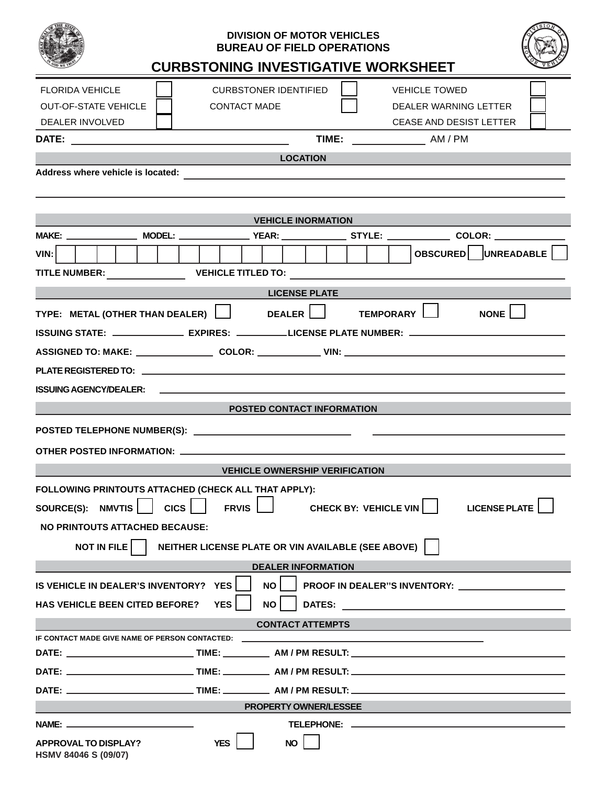| <b>DIVISION OF MOTOR VEHICLES</b><br><b>BUREAU OF FIELD OPERATIONS</b><br><b>CURBSTONING INVESTIGATIVE WORKSHEET</b>                                                                                                                                                                           |  |  |  |  |  |  |
|------------------------------------------------------------------------------------------------------------------------------------------------------------------------------------------------------------------------------------------------------------------------------------------------|--|--|--|--|--|--|
| <b>CURBSTONER IDENTIFIED</b><br><b>FLORIDA VEHICLE</b><br><b>VEHICLE TOWED</b><br><b>OUT-OF-STATE VEHICLE</b><br><b>CONTACT MADE</b><br>DEALER WARNING LETTER<br><b>CEASE AND DESIST LETTER</b><br>DEALER INVOLVED                                                                             |  |  |  |  |  |  |
| TIME: _______________________ AM / PM                                                                                                                                                                                                                                                          |  |  |  |  |  |  |
| <b>LOCATION</b>                                                                                                                                                                                                                                                                                |  |  |  |  |  |  |
| Address where vehicle is located:                                                                                                                                                                                                                                                              |  |  |  |  |  |  |
|                                                                                                                                                                                                                                                                                                |  |  |  |  |  |  |
| <b>VEHICLE INORMATION</b>                                                                                                                                                                                                                                                                      |  |  |  |  |  |  |
|                                                                                                                                                                                                                                                                                                |  |  |  |  |  |  |
| OBSCURED UNREADABLE<br>VIN:                                                                                                                                                                                                                                                                    |  |  |  |  |  |  |
|                                                                                                                                                                                                                                                                                                |  |  |  |  |  |  |
|                                                                                                                                                                                                                                                                                                |  |  |  |  |  |  |
| <b>Example 21 LICENSE PLATE</b>                                                                                                                                                                                                                                                                |  |  |  |  |  |  |
| TYPE: METAL (OTHER THAN DEALER) $\bigsqcup$ DEALER $\bigsqcup$ TEMPORARY $\bigsqcup$<br><b>NONE</b>                                                                                                                                                                                            |  |  |  |  |  |  |
| ISSUING STATE: ________________ EXPIRES: __________LICENSE PLATE NUMBER: __________________________                                                                                                                                                                                            |  |  |  |  |  |  |
| ASSIGNED TO: MAKE: _____________________ COLOR: _________________________________                                                                                                                                                                                                              |  |  |  |  |  |  |
|                                                                                                                                                                                                                                                                                                |  |  |  |  |  |  |
| <b>ISSUING AGENCY/DEALER:</b>                                                                                                                                                                                                                                                                  |  |  |  |  |  |  |
| POSTED CONTACT INFORMATION                                                                                                                                                                                                                                                                     |  |  |  |  |  |  |
|                                                                                                                                                                                                                                                                                                |  |  |  |  |  |  |
|                                                                                                                                                                                                                                                                                                |  |  |  |  |  |  |
| <b>VEHICLE OWNERSHIP VERIFICATION</b>                                                                                                                                                                                                                                                          |  |  |  |  |  |  |
| FOLLOWING PRINTOUTS ATTACHED (CHECK ALL THAT APPLY):                                                                                                                                                                                                                                           |  |  |  |  |  |  |
| $ $ cics $ $<br>SOURCE(S): NMVTIS<br>FRVIS    <br><b>LICENSE PLATE</b><br><b>CHECK BY: VEHICLE VIN</b>                                                                                                                                                                                         |  |  |  |  |  |  |
| NO PRINTOUTS ATTACHED BECAUSE:                                                                                                                                                                                                                                                                 |  |  |  |  |  |  |
| NEITHER LICENSE PLATE OR VIN AVAILABLE (SEE ABOVE)<br><b>NOT IN FILE</b>                                                                                                                                                                                                                       |  |  |  |  |  |  |
| <b>DEALER INFORMATION</b>                                                                                                                                                                                                                                                                      |  |  |  |  |  |  |
| <b>NO</b><br>IS VEHICLE IN DEALER'S INVENTORY?<br><b>YES</b><br>PROOF IN DEALER"S INVENTORY: Network and the state of the state of the state of the state of the state of the state of the state of the state of the state of the state of the state of the state of the state of the state of |  |  |  |  |  |  |
| <b>YES</b><br><b>NO</b><br>DATES: And the contract of the contract of the contract of the contract of the contract of the contract of the<br><b>HAS VEHICLE BEEN CITED BEFORE?</b>                                                                                                             |  |  |  |  |  |  |
|                                                                                                                                                                                                                                                                                                |  |  |  |  |  |  |
| <b>CONTACT ATTEMPTS</b><br>IF CONTACT MADE GIVE NAME OF PERSON CONTACTED: _________________________________                                                                                                                                                                                    |  |  |  |  |  |  |
|                                                                                                                                                                                                                                                                                                |  |  |  |  |  |  |
|                                                                                                                                                                                                                                                                                                |  |  |  |  |  |  |
|                                                                                                                                                                                                                                                                                                |  |  |  |  |  |  |
| <b>PROPERTY OWNER/LESSEE</b>                                                                                                                                                                                                                                                                   |  |  |  |  |  |  |
|                                                                                                                                                                                                                                                                                                |  |  |  |  |  |  |
| <b>YES</b><br><b>NO</b><br><b>APPROVAL TO DISPLAY?</b><br>HSMV 84046 S (09/07)                                                                                                                                                                                                                 |  |  |  |  |  |  |